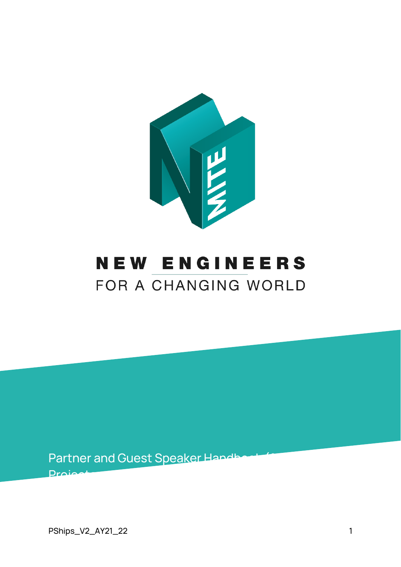

# NEW ENGINEERS FOR A CHANGING WORLD

Partner and Guest Speaker Handbook

PShips\_V2\_AY21\_22 1

**Droje**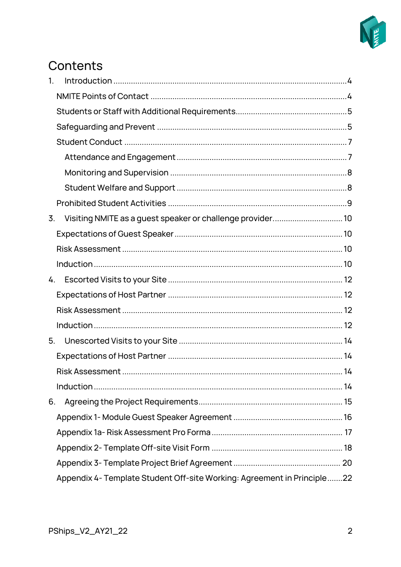

# Contents

| 1. |                                                                         |  |
|----|-------------------------------------------------------------------------|--|
|    |                                                                         |  |
|    |                                                                         |  |
|    |                                                                         |  |
|    |                                                                         |  |
|    |                                                                         |  |
|    |                                                                         |  |
|    |                                                                         |  |
|    |                                                                         |  |
| 3. | Visiting NMITE as a guest speaker or challenge provider 10              |  |
|    |                                                                         |  |
|    |                                                                         |  |
|    |                                                                         |  |
| 4. |                                                                         |  |
|    |                                                                         |  |
|    |                                                                         |  |
|    |                                                                         |  |
| 5. |                                                                         |  |
|    |                                                                         |  |
|    |                                                                         |  |
|    |                                                                         |  |
| 6. |                                                                         |  |
|    |                                                                         |  |
|    |                                                                         |  |
|    |                                                                         |  |
|    |                                                                         |  |
|    | Appendix 4- Template Student Off-site Working: Agreement in Principle22 |  |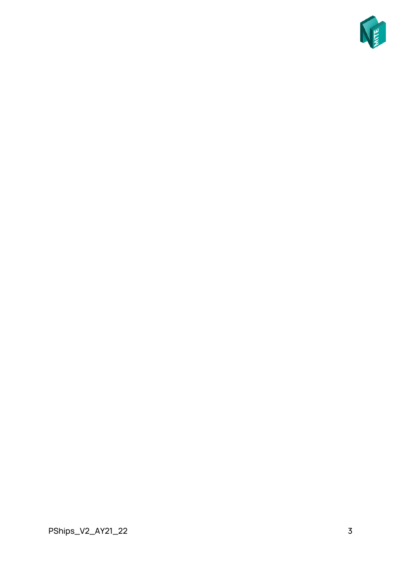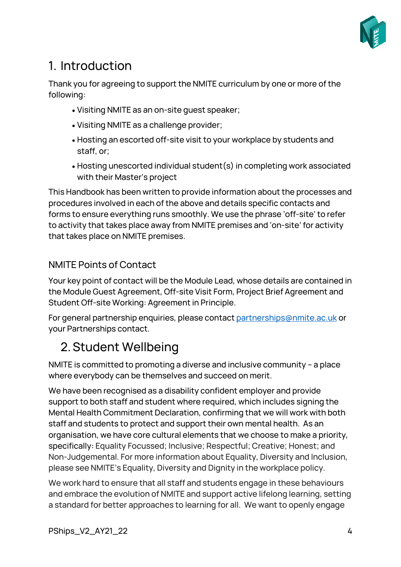

# <span id="page-3-0"></span>1. Introduction

Thank you for agreeing to support the NMITE curriculum by one or more of the following:

- Visiting NMITE as an on-site guest speaker;
- Visiting NMITE as a challenge provider;
- Hosting an escorted off-site visit to your workplace by students and staff, or;
- Hosting unescorted individual student(s) in completing work associated with their Master's project

This Handbook has been written to provide information about the processes and procedures involved in each of the above and details specific contacts and forms to ensure everything runs smoothly. We use the phrase 'off-site' to refer to activity that takes place away from NMITE premises and 'on-site' for activity that takes place on NMITE premises.

## <span id="page-3-1"></span>NMITE Points of Contact

Your key point of contact will be the Module Lead, whose details are contained in the Module Guest Agreement, Off-site Visit Form, Project Brief Agreement and Student Off-site Working: Agreement in Principle.

For general partnership enquiries, please contact [partnerships@nmite.ac.uk](mailto:partnerships@nmite.ac.uk) or your Partnerships contact.

# 2.Student Wellbeing

NMITE is committed to promoting a diverse and inclusive community – a place where everybody can be themselves and succeed on merit.

We have been recognised as a disability confident employer and provide support to both staff and student where required, which includes signing the Mental Health Commitment Declaration, confirming that we will work with both staff and students to protect and support their own mental health. As an organisation, we have core cultural elements that we choose to make a priority, specifically: Equality Focussed; Inclusive; Respectful; Creative; Honest; and Non-Judgemental. For more information about Equality, Diversity and Inclusion, please see NMITE's Equality, Diversity and Dignity in the workplace policy.

We work hard to ensure that all staff and students engage in these behaviours and embrace the evolution of NMITE and support active lifelong learning, setting a standard for better approaches to learning for all. We want to openly engage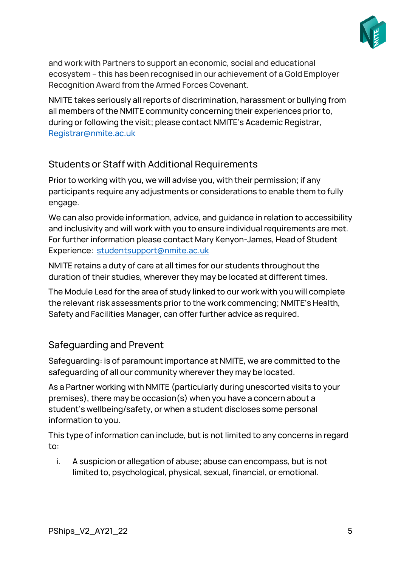

and work with Partners to support an economic, social and educational ecosystem – this has been recognised in our achievement of a Gold Employer Recognition Award from the Armed Forces Covenant.

NMITE takes seriously all reports of discrimination, harassment or bullying from all members of the NMITE community concerning their experiences prior to, during or following the visit; please contact NMITE's Academic Registrar, [Registrar@nmite.ac.uk](mailto:Registrar@nmite.ac.uk)

## <span id="page-4-0"></span>Students or Staff with Additional Requirements

Prior to working with you, we will advise you, with their permission; if any participants require any adjustments or considerations to enable them to fully engage.

We can also provide information, advice, and guidance in relation to accessibility and inclusivity and will work with you to ensure individual requirements are met. For further information please contact Mary Kenyon-James, Head of Student Experience: [studentsupport@nmite.ac.uk](mailto:studentsupport@nmite.ac.uk)

NMITE retains a duty of care at all times for our students throughout the duration of their studies, wherever they may be located at different times.

The Module Lead for the area of study linked to our work with you will complete the relevant risk assessments prior to the work commencing; NMITE's Health, Safety and Facilities Manager, can offer further advice as required.

## <span id="page-4-1"></span>Safeguarding and Prevent

Safeguarding: is of paramount importance at NMITE, we are committed to the safeguarding of all our community wherever they may be located.

As a Partner working with NMITE (particularly during unescorted visits to your premises), there may be occasion(s) when you have a concern about a student's wellbeing/safety, or when a student discloses some personal information to you.

This type of information can include, but is not limited to any concerns in regard to:

i. A suspicion or allegation of abuse; abuse can encompass, but is not limited to, psychological, physical, sexual, financial, or emotional.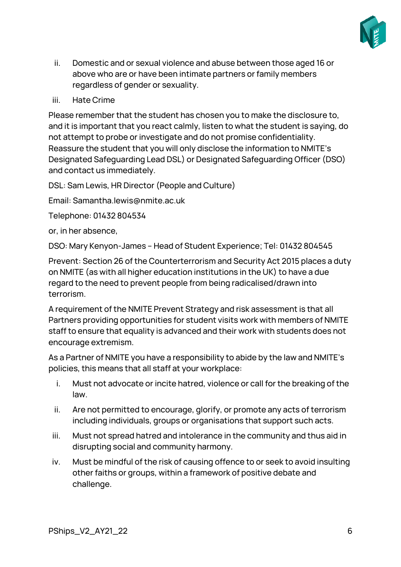

ii. Domestic and or sexual violence and abuse between those aged 16 or above who are or have been intimate partners or family members regardless of gender or sexuality.

#### iii. Hate Crime

Please remember that the student has chosen you to make the disclosure to, and it is important that you react calmly, listen to what the student is saying, do not attempt to probe or investigate and do not promise confidentiality. Reassure the student that you will only disclose the information to NMITE's Designated Safeguarding Lead DSL) or Designated Safeguarding Officer (DSO) and contact us immediately.

DSL: Sam Lewis, HR Director (People and Culture)

Email: Samantha.lewis@nmite.ac.uk

Telephone: 01432 804534

or, in her absence,

DSO: Mary Kenyon-James – Head of Student Experience; Tel: 01432 804545

Prevent: Section 26 of the Counterterrorism and Security Act 2015 places a duty on NMITE (as with all higher education institutions in the UK) to have a due regard to the need to prevent people from being radicalised/drawn into terrorism.

A requirement of the NMITE Prevent Strategy and risk assessment is that all Partners providing opportunities for student visits work with members of NMITE staff to ensure that equality is advanced and their work with students does not encourage extremism.

As a Partner of NMITE you have a responsibility to abide by the law and NMITE's policies, this means that all staff at your workplace:

- i. Must not advocate or incite hatred, violence or call for the breaking of the law.
- ii. Are not permitted to encourage, glorify, or promote any acts of terrorism including individuals, groups or organisations that support such acts.
- iii. Must not spread hatred and intolerance in the community and thus aid in disrupting social and community harmony.
- iv. Must be mindful of the risk of causing offence to or seek to avoid insulting other faiths or groups, within a framework of positive debate and challenge.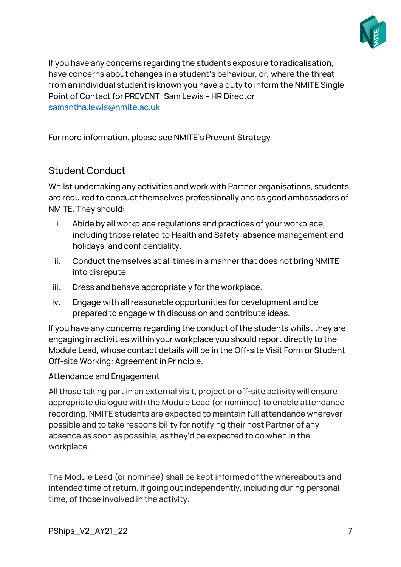

If you have any concerns regarding the students exposure to radicalisation, have concerns about changes in a student's behaviour, or, where the threat from an individual student is known you have a duty to inform the NMITE Single Point of Contact for PREVENT: Sam Lewis – HR Director [samantha.lewis@nmite.ac.uk](mailto:samantha.lewis@nmite.ac.uk)

For more information, please see NMITE's Prevent Strategy

## <span id="page-6-0"></span>Student Conduct

Whilst undertaking any activities and work with Partner organisations, students are required to conduct themselves professionally and as good ambassadors of NMITE. They should:

- i. Abide by all workplace regulations and practices of your workplace, including those related to Health and Safety, absence management and holidays, and confidentiality.
- ii. Conduct themselves at all times in a manner that does not bring NMITE into disrepute.
- iii. Dress and behave appropriately for the workplace.
- iv. Engage with all reasonable opportunities for development and be prepared to engage with discussion and contribute ideas.

If you have any concerns regarding the conduct of the students whilst they are engaging in activities within your workplace you should report directly to the Module Lead, whose contact details will be in the Off-site Visit Form or Student Off-site Working: Agreement in Principle.

#### <span id="page-6-1"></span>Attendance and Engagement

All those taking part in an external visit, project or off-site activity will ensure appropriate dialogue with the Module Lead (or nominee) to enable attendance recording. NMITE students are expected to maintain full attendance wherever possible and to take responsibility for notifying their host Partner of any absence as soon as possible, as they'd be expected to do when in the workplace.

The Module Lead (or nominee) shall be kept informed of the whereabouts and intended time of return, if going out independently, including during personal time, of those involved in the activity.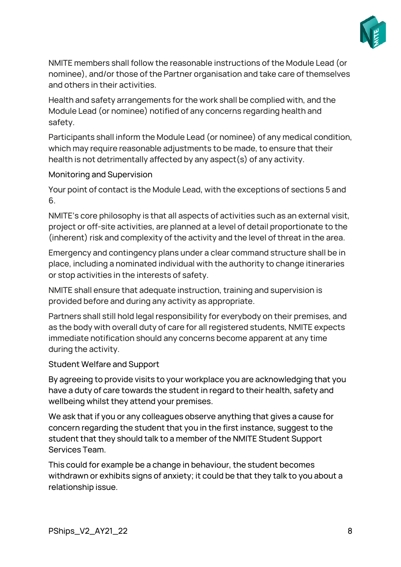

NMITE members shall follow the reasonable instructions of the Module Lead (or nominee), and/or those of the Partner organisation and take care of themselves and others in their activities.

Health and safety arrangements for the work shall be complied with, and the Module Lead (or nominee) notified of any concerns regarding health and safety.

Participants shall inform the Module Lead (or nominee) of any medical condition, which may require reasonable adjustments to be made, to ensure that their health is not detrimentally affected by any aspect(s) of any activity.

#### <span id="page-7-0"></span>Monitoring and Supervision

Your point of contact is the Module Lead, with the exceptions of sections 5 and 6.

NMITE's core philosophy is that all aspects of activities such as an external visit, project or off-site activities, are planned at a level of detail proportionate to the (inherent) risk and complexity of the activity and the level of threat in the area.

Emergency and contingency plans under a clear command structure shall be in place, including a nominated individual with the authority to change itineraries or stop activities in the interests of safety.

NMITE shall ensure that adequate instruction, training and supervision is provided before and during any activity as appropriate.

Partners shall still hold legal responsibility for everybody on their premises, and as the body with overall duty of care for all registered students, NMITE expects immediate notification should any concerns become apparent at any time during the activity.

#### <span id="page-7-1"></span>Student Welfare and Support

By agreeing to provide visits to your workplace you are acknowledging that you have a duty of care towards the student in regard to their health, safety and wellbeing whilst they attend your premises.

We ask that if you or any colleagues observe anything that gives a cause for concern regarding the student that you in the first instance, suggest to the student that they should talk to a member of the NMITE Student Support Services Team.

This could for example be a change in behaviour, the student becomes withdrawn or exhibits signs of anxiety; it could be that they talk to you about a relationship issue.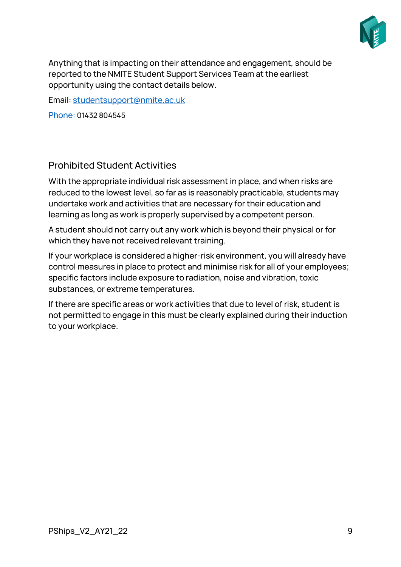

Anything that is impacting on their attendance and engagement, should be reported to the NMITE Student Support Services Team at the earliest opportunity using the contact details below.

Email: [studentsupport@nmite.ac.uk](mailto:studentsupport@nmite.ac.uk)

Phone: 01432 804545

### <span id="page-8-0"></span>Prohibited Student Activities

With the appropriate individual risk assessment in place, and when risks are reduced to the lowest level, so far as is reasonably practicable, students may undertake work and activities that are necessary for their education and learning as long as work is properly supervised by a competent person.

A student should not carry out any work which is beyond their physical or for which they have not received relevant training.

If your workplace is considered a higher-risk environment, you will already have control measures in place to protect and minimise risk for all of your employees; specific factors include exposure to radiation, noise and vibration, toxic substances, or extreme temperatures.

If there are specific areas or work activities that due to level of risk, student is not permitted to engage in this must be clearly explained during their induction to your workplace.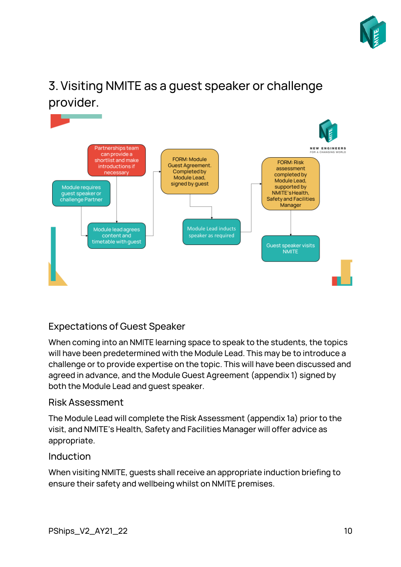

# <span id="page-9-0"></span>3. Visiting NMITE as a guest speaker or challenge provider.



## <span id="page-9-1"></span>Expectations of Guest Speaker

When coming into an NMITE learning space to speak to the students, the topics will have been predetermined with the Module Lead. This may be to introduce a challenge or to provide expertise on the topic. This will have been discussed and agreed in advance, and the Module Guest Agreement (appendix 1) signed by both the Module Lead and guest speaker.

#### <span id="page-9-2"></span>Risk Assessment

The Module Lead will complete the Risk Assessment (appendix 1a) prior to the visit, and NMITE's Health, Safety and Facilities Manager will offer advice as appropriate.

#### <span id="page-9-3"></span>Induction

When visiting NMITE, guests shall receive an appropriate induction briefing to ensure their safety and wellbeing whilst on NMITE premises.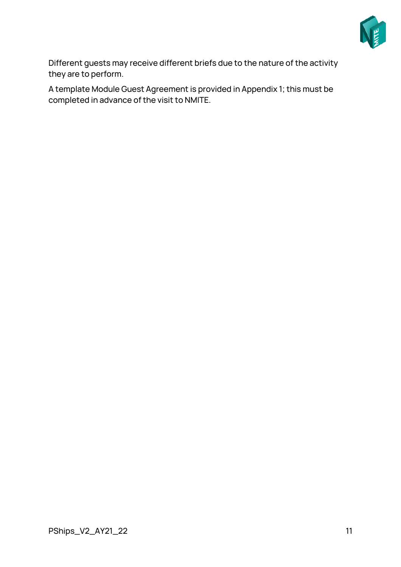

Different guests may receive different briefs due to the nature of the activity they are to perform.

A template Module Guest Agreement is provided in Appendix 1; this must be completed in advance of the visit to NMITE.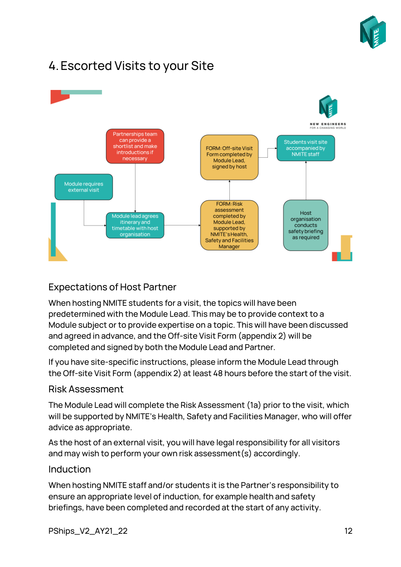



# <span id="page-11-0"></span>4.Escorted Visits to your Site

## <span id="page-11-1"></span>Expectations of Host Partner

When hosting NMITE students for a visit, the topics will have been predetermined with the Module Lead. This may be to provide context to a Module subject or to provide expertise on a topic. This will have been discussed and agreed in advance, and the Off-site Visit Form (appendix 2) will be completed and signed by both the Module Lead and Partner.

If you have site-specific instructions, please inform the Module Lead through the Off-site Visit Form (appendix 2) at least 48 hours before the start of the visit.

#### <span id="page-11-2"></span>Risk Assessment

The Module Lead will complete the Risk Assessment (1a) prior to the visit, which will be supported by NMITE's Health, Safety and Facilities Manager, who will offer advice as appropriate.

As the host of an external visit, you will have legal responsibility for all visitors and may wish to perform your own risk assessment(s) accordingly.

#### <span id="page-11-3"></span>Induction

When hosting NMITE staff and/or students it is the Partner's responsibility to ensure an appropriate level of induction, for example health and safety briefings, have been completed and recorded at the start of any activity.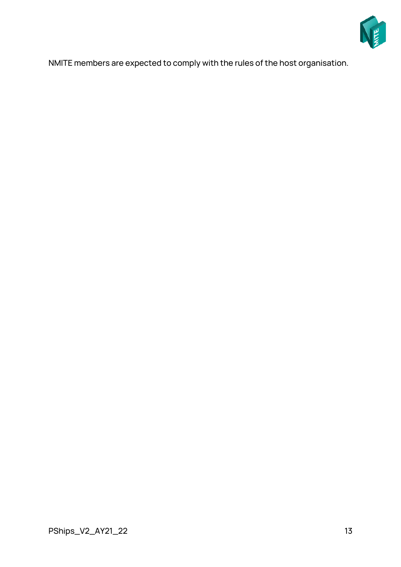

NMITE members are expected to comply with the rules of the host organisation.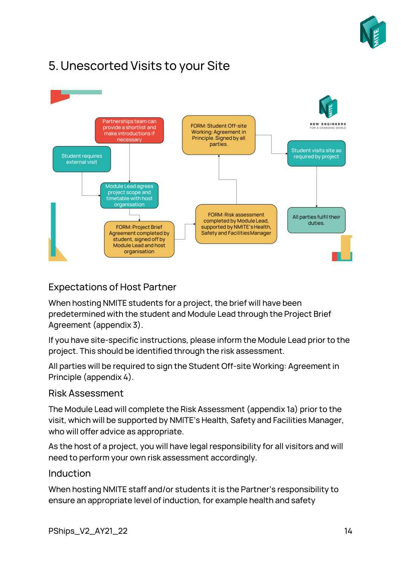

# <span id="page-13-0"></span>5. Unescorted Visits to your Site



## <span id="page-13-1"></span>Expectations of Host Partner

When hosting NMITE students for a project, the brief will have been predetermined with the student and Module Lead through the Project Brief Agreement (appendix 3).

If you have site-specific instructions, please inform the Module Lead prior to the project. This should be identified through the risk assessment.

All parties will be required to sign the Student Off-site Working: Agreement in Principle (appendix 4).

#### <span id="page-13-2"></span>Risk Assessment

The Module Lead will complete the Risk Assessment (appendix 1a) prior to the visit, which will be supported by NMITE's Health, Safety and Facilities Manager, who will offer advice as appropriate.

As the host of a project, you will have legal responsibility for all visitors and will need to perform your own risk assessment accordingly.

#### <span id="page-13-3"></span>Induction

When hosting NMITE staff and/or students it is the Partner's responsibility to ensure an appropriate level of induction, for example health and safety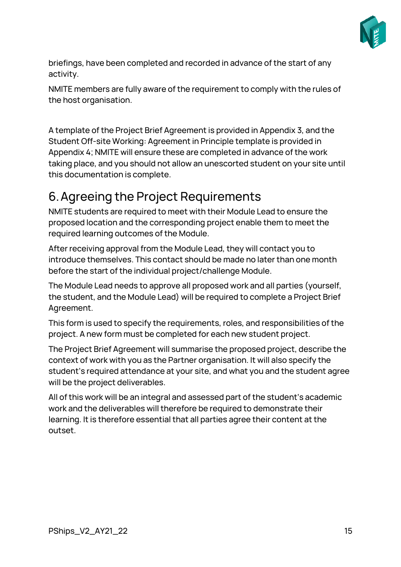

briefings, have been completed and recorded in advance of the start of any activity.

NMITE members are fully aware of the requirement to comply with the rules of the host organisation.

A template of the Project Brief Agreement is provided in Appendix 3, and the Student Off-site Working: Agreement in Principle template is provided in Appendix 4; NMITE will ensure these are completed in advance of the work taking place, and you should not allow an unescorted student on your site until this documentation is complete.

# <span id="page-14-0"></span>6.Agreeing the Project Requirements

NMITE students are required to meet with their Module Lead to ensure the proposed location and the corresponding project enable them to meet the required learning outcomes of the Module.

After receiving approval from the Module Lead, they will contact you to introduce themselves. This contact should be made no later than one month before the start of the individual project/challenge Module.

The Module Lead needs to approve all proposed work and all parties (yourself, the student, and the Module Lead) will be required to complete a Project Brief Agreement.

This form is used to specify the requirements, roles, and responsibilities of the project. A new form must be completed for each new student project.

The Project Brief Agreement will summarise the proposed project, describe the context of work with you as the Partner organisation. It will also specify the student's required attendance at your site, and what you and the student agree will be the project deliverables.

All of this work will be an integral and assessed part of the student's academic work and the deliverables will therefore be required to demonstrate their learning. It is therefore essential that all parties agree their content at the outset.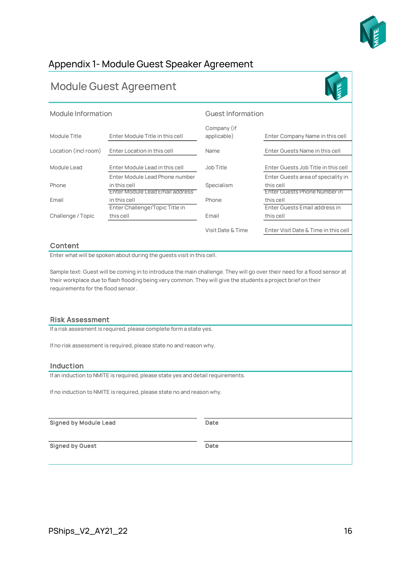#### Module Title Enter Module Title in this cell applicable) Enter Company Name in this cell Location (incl room) Enter Location in this cell Name Enter Guests Name in this cell

| ______            |                                 |                   |                                      |
|-------------------|---------------------------------|-------------------|--------------------------------------|
| Module Lead       | Enter Module Lead in this cell  | Job Title         | Enter Guests Job Title in this cell  |
|                   | Enter Module Lead Phone number  |                   | Enter Guests area of speciality in   |
| Phone             | in this cell                    | Specialism        | this cell                            |
|                   | Enter Module Lead Email address |                   | Enter Guests Phone Number in         |
| Email             | in this cell                    | Phone             | this cell                            |
|                   | Enter Challenge/Topic Title in  |                   | Enter Guests Email address in        |
| Challenge / Topic | this cell                       | Email             | this cell                            |
|                   |                                 | Visit Date & Time | Enter Visit Date & Time in this cell |

#### Content

Enter what will be spoken about during the guests visit in this cell.

Sample text: Guest will be coming in to introduce the main challenge. They will go over their need for a flood sensor at their workplace due to flash flooding being very common. They will give the students a project brief on their requirements for the flood sensor.

#### Risk Assessment

If a risk assesment is required, please complete form a state yes.

If no risk assessment is required, please state no and reason why.

#### Induction

If an induction to NMITE is required, please state yes and detail requirements.

If no induction to NMITE is required, please state no and reason why.

Signed by Module Lead Date

Signed by Guest Date

Module Information **Module Information** Guest Information

# <span id="page-15-0"></span>Module Guest Agreement

Company (if

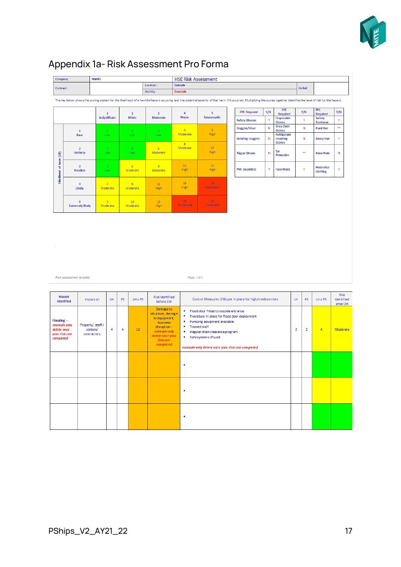

| Company:    |                                            | <b>NMITE</b>               |                            |                            | <b>HSE Risk Assessment</b>                                                                              |                                                                                                                                                                                                                              |   |                                                 |              |                                    |                  |                               |                  |
|-------------|--------------------------------------------|----------------------------|----------------------------|----------------------------|---------------------------------------------------------------------------------------------------------|------------------------------------------------------------------------------------------------------------------------------------------------------------------------------------------------------------------------------|---|-------------------------------------------------|--------------|------------------------------------|------------------|-------------------------------|------------------|
| Contract:   |                                            |                            |                            | Location:                  | <b>Example</b><br><b>Example</b>                                                                        |                                                                                                                                                                                                                              |   |                                                 |              |                                    | RA Ref.          |                               |                  |
|             |                                            |                            |                            | Activity:                  |                                                                                                         |                                                                                                                                                                                                                              |   |                                                 |              |                                    |                  |                               |                  |
|             |                                            |                            |                            |                            |                                                                                                         | The key below shows the scoring system for the likelihood of a harmful hazard occurring and the potential severity of that harm if it occurred. Multiplying the scores together identifies the level of risk for the hazard. |   |                                                 |              |                                    |                  |                               |                  |
|             |                                            | $\overline{1}$             | $\overline{2}$             | $\overline{\mathbf{3}}$    | Δ                                                                                                       | 5                                                                                                                                                                                                                            |   | <b>PPE Required</b>                             | Y/N          | <b>PPE</b><br><b>Required</b>      | Y/N              | PPE<br><b>Required</b>        | Y/N              |
|             |                                            | Insignificant              | <b>Minor</b>               | <b>Moderate</b>            | <b>Major</b>                                                                                            | Catastrophic                                                                                                                                                                                                                 |   | <b>Safety Glasses</b>                           | $\mathbf{Y}$ | <b>Disposable</b><br><b>Gloves</b> | Y                | Safety<br>Footwear            | Y                |
|             | $\mathbf{1}$                               | $\overline{1}$             | $\overline{2}$             | $\overline{3}$             | <b>Goggles/Visor</b><br>5 <sup>1</sup><br>$\Delta$<br><b>High</b><br>Moderate<br><b>Welding Goggles</b> |                                                                                                                                                                                                                              |   |                                                 | N            | <b>Grey Cloth</b><br><b>Gloves</b> | N                | <b>Hard Hat</b>               | $\bullet\bullet$ |
|             | Rare                                       | Low                        | Low                        | Low                        |                                                                                                         |                                                                                                                                                                                                                              | N | Refrigerant<br><b>Handling</b><br><b>Gloves</b> | N            | <b>Bump Hat</b>                    | Y                |                               |                  |
| Ê           | $\overline{\mathbf{z}}$<br><b>Unlikely</b> | $\overline{2}$<br>Low      | $\Delta$<br>Low            | $\overline{6}$<br>Moderate | $\overline{8}$<br>Moderate                                                                              | 10<br>High                                                                                                                                                                                                                   |   | <b>Rigger Gloves</b>                            | N            | Ear<br><b>Protection</b>           | $\bullet\bullet$ | <b>Knee Pads</b>              | N                |
| larm<br>p   | $\mathbf{3}$<br><b>Possible</b>            | 3 <sup>°</sup><br>Low      | 6<br>Moderate              | $\circ$<br>Moderate        | 12 <sub>2</sub><br><b>High</b>                                                                          | 15<br>High                                                                                                                                                                                                                   |   | <b>PVC Gauntlets</b>                            | Y            | <b>Face Mask</b>                   | Y                | Protective<br><b>Clothing</b> | Y                |
| Like lihood | 4<br>Likely                                | $\overline{A}$<br>Moderate | $\overline{8}$<br>Moderate | 12<br>High                 | 16<br>High                                                                                              | 20<br>Intolerable                                                                                                                                                                                                            |   |                                                 |              |                                    |                  |                               |                  |
|             | 5<br><b>Extremely likely</b>               | $\overline{5}$<br>Moderate | 10<br>Moderate             | 15<br><b>High</b>          | 20<br><b>Intolerable</b>                                                                                | 25<br>Intolerable                                                                                                                                                                                                            |   |                                                 |              |                                    |                  |                               |                  |

# <span id="page-16-0"></span>Appendix 1a- Risk Assessment Pro Forma

Risk assessment template

Page 1 of 4

| <b>Hazard</b><br><b>Identified</b>                                            | Impact on                                    | LH | <b>PS</b> | LH x PS | <b>Risk Identified</b><br>before CM                                                                                                      | Control Measures (CM) put in place for high/medium risks                                                                                                                                                                                                                                      | LH             | <b>PS</b>      | LH x PS        | <b>Risk</b><br>Identified<br>after CM |
|-------------------------------------------------------------------------------|----------------------------------------------|----|-----------|---------|------------------------------------------------------------------------------------------------------------------------------------------|-----------------------------------------------------------------------------------------------------------------------------------------------------------------------------------------------------------------------------------------------------------------------------------------------|----------------|----------------|----------------|---------------------------------------|
| $F$ looding $-$<br>example only<br>delete once<br>vour risks are<br>completed | Property/ staff/<br>visitors/<br>contractors | 4  | 4         | 16      | Damageto<br>structure, damage<br>to equipment,<br>business<br>disruption -<br>example only<br>delete once your<br>risks are<br>completed | Flood door fitted to outside entrance<br>$\mathbf{r}$<br>л.<br>Procedure in place for flood door deployment<br>Pumping equipment available<br>٠<br><b>Trained staff</b><br>Regular drain clearance program<br>п.<br>Safe systems of work<br>example only delete once your risks are completed | $\overline{2}$ | $\overline{2}$ | $\overline{4}$ | Moderate                              |
|                                                                               |                                              |    |           |         |                                                                                                                                          | ٠                                                                                                                                                                                                                                                                                             |                |                |                |                                       |
|                                                                               |                                              |    |           |         |                                                                                                                                          | ٠                                                                                                                                                                                                                                                                                             |                |                |                |                                       |
|                                                                               |                                              |    |           |         |                                                                                                                                          | $\blacksquare$                                                                                                                                                                                                                                                                                |                |                |                |                                       |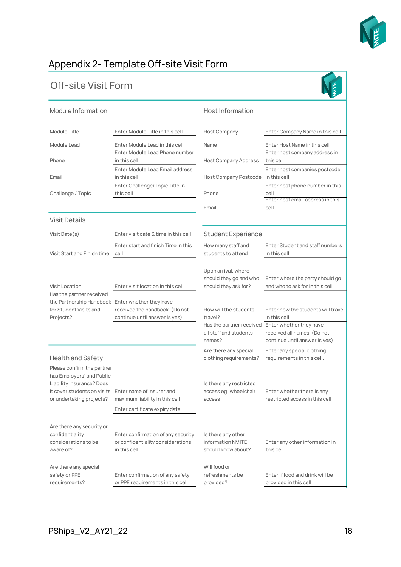

## <span id="page-17-0"></span>Appendix 2- Template Off-site Visit Form

## Off-site Visit Form



| Module Information                                                                                                                                                        |                                                                                         | Host Information                                                      |                                                                                                                  |
|---------------------------------------------------------------------------------------------------------------------------------------------------------------------------|-----------------------------------------------------------------------------------------|-----------------------------------------------------------------------|------------------------------------------------------------------------------------------------------------------|
| Module Title                                                                                                                                                              | Enter Module Title in this cell                                                         | Host Company                                                          | Enter Company Name in this cell                                                                                  |
| Module Lead                                                                                                                                                               | Enter Module Lead in this cell<br>Enter Module Lead Phone number                        | Name                                                                  | Enter Host Name in this cell<br>Enter host company address in                                                    |
| Phone                                                                                                                                                                     | in this cell                                                                            | <b>Host Company Address</b>                                           | this cell                                                                                                        |
| Email                                                                                                                                                                     | Enter Module Lead Email address<br>in this cell                                         | Host Company Postcode in this cell                                    | Enter host companies postcode                                                                                    |
| Challenge / Topic                                                                                                                                                         | Enter Challenge/Topic Title in<br>this cell                                             | Phone                                                                 | Enter host phone number in this<br>cell                                                                          |
|                                                                                                                                                                           |                                                                                         | Email                                                                 | Enter host email address in this<br>cell                                                                         |
| <b>Visit Details</b>                                                                                                                                                      |                                                                                         |                                                                       |                                                                                                                  |
| Visit Date(s)                                                                                                                                                             | Enter visit date & time in this cell                                                    | <b>Student Experience</b>                                             |                                                                                                                  |
| Visit Start and Finish time                                                                                                                                               | Enter start and finish Time in this<br>cell                                             | How many staff and<br>students to attend                              | Enter Student and staff numbers<br>in this cell                                                                  |
| Visit Location                                                                                                                                                            | Enter visit location in this cell                                                       | Upon arrival, where<br>should they go and who<br>should they ask for? | Enter where the party should go<br>and who to ask for in this cell                                               |
| Has the partner received<br>the Partnership Handbook Enter whether they have<br>for Student Visits and<br>Projects?                                                       | received the handbook. (Do not<br>continue until answer is yes)                         | How will the students<br>travel?                                      | Enter how the students will travel<br>in this cell                                                               |
|                                                                                                                                                                           |                                                                                         | all staff and students<br>names?                                      | Has the partner received Enter whether they have<br>received all names. (Do not<br>continue until answer is yes) |
| <b>Health and Safety</b>                                                                                                                                                  |                                                                                         | Are there any special<br>clothing requirements?                       | Enter any special clothing<br>requirements in this cell.                                                         |
| Please confirm the partner<br>has Employers' and Public<br>Liability Insurance? Does<br>it cover students on visits Enter name of insurer and<br>or undertaking projects? | maximum liability in this cell<br>Enter certificate expiry date                         | Is there any restricted<br>access eg: wheelchair<br>access            | Enter whether there is any<br>restricted access in this cell                                                     |
| Are there any security or<br>confidentiality<br>considerations to be<br>aware of?                                                                                         | Enter confirmation of any security<br>or confidentiality considerations<br>in this cell | Is there any other<br>information NMITE<br>should know about?         | Enter any other information in<br>this cell                                                                      |
| Are there any special<br>safety or PPE<br>requirements?                                                                                                                   | Enter confirmation of any safety<br>or PPE requirements in this cell                    | Will food or<br>refreshments be<br>provided?                          | Enter if food and drink will be<br>provided in this cell                                                         |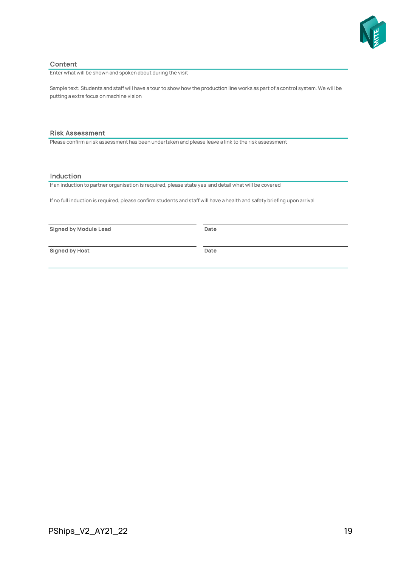

#### Content

Enter what will be shown and spoken about during the visit

Sample text: Students and staff will have a tour to show how the production line works as part of a control system. We will be putting a extra focus on machine vision

#### Risk Assessment

Please confirm a risk assessment has been undertaken and please leave a link to the risk assessment

#### Induction

If an induction to partner organisation is required, please state yes and detail what will be covered

If no full induction is required, please confirm students and staff will have a health and safety briefing upon arrival

Signed by Module Lead Date

Signed by Host Date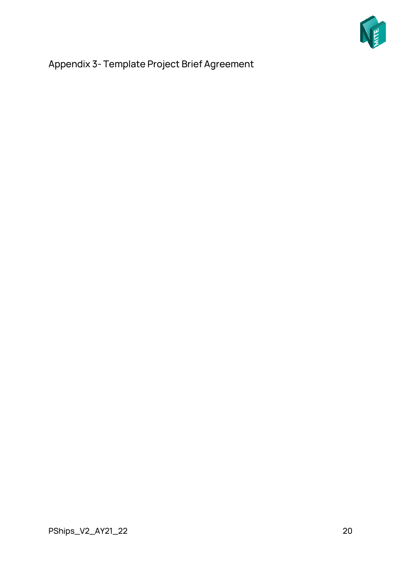

<span id="page-19-0"></span>Appendix 3- Template Project Brief Agreement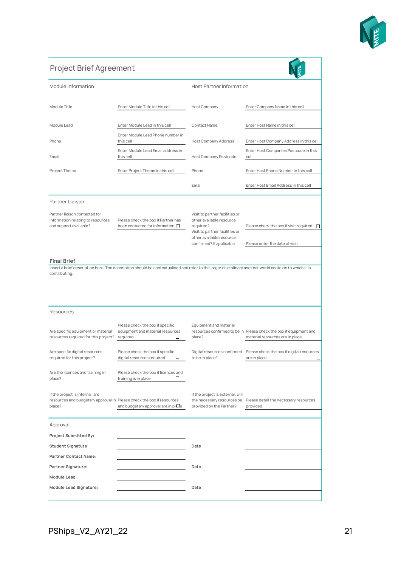

#### Project Brief Agreement Module Information **Host Partner Information Host Partner Information** Module Title **Enter Module Title in this cell** Host Company Enter Company Name in this cell Module Lead **Enter Module Lead in this cell** Contact Name Enter Host Name in this cell Enter Module Lead Phone number in Phone this cell **Host Company Address** Enter Host Company Address in this cell Enter Module Lead Email address in Enter Host Companies Postcode in this Email this cell **Host Company Postcode** cell Project Theme Enter Project Theme in this cell Phone Enter Host Phone Number in this cell Email Enter Host Email Address in this cell Partner Liaison Partner liaison contacted for Visit to partner facilities or Please check the box if Partner has information relating to resources other available resource and support available? been contacted for information  $\Box$ required? Please check the box if visit required  $\Box$ Visit to partner facilities or other available resource confirmed? If applicable Please enter the date of visit Final Brief Insert a brief description here. The description should be contextualised and refer to the larger disciplinary and real-world contexts to which it is contributing. Resources Please check the box if specific Equipment and material Are specific equipment or material equipment and material resources resources confirmed to be in Please check the box if equipment and  $\Box$ place? material resources are in place resources required for this project? required Are specific digital resources Please check the box if specific Digital resources confirmed Please check the box if digital resources digital resources required  $\Box$ required for this project? to be in place? are in place Are the licences and training in Please check the box if licences and place?  $\Box$ training is in place If the project is internal, are If the project is external, will resources and budgetary approval in Please check the box if resources the necessary resources be Please detail the necessary resources place? and budgetary approval are in place provided by the Partner? provided Approval Project Submitted By: Student Signature: The Contract of the Contract of the Date of the Date of the Date Partner Contact Name: Partner Signature: The Contract of the Contract of the Date of the Date of the Date of the Date of the Date of Module Lead: Module Lead Signature: Date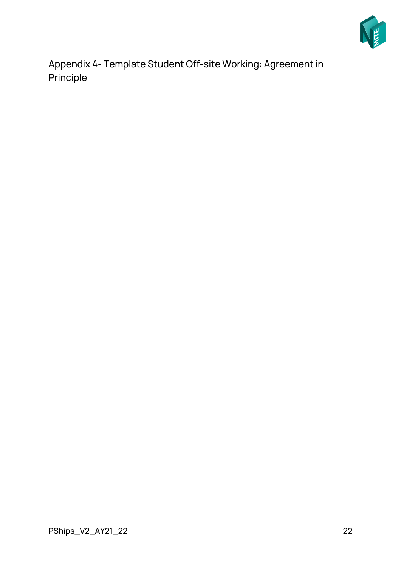

<span id="page-21-0"></span>Appendix 4- Template Student Off-site Working: Agreement in Principle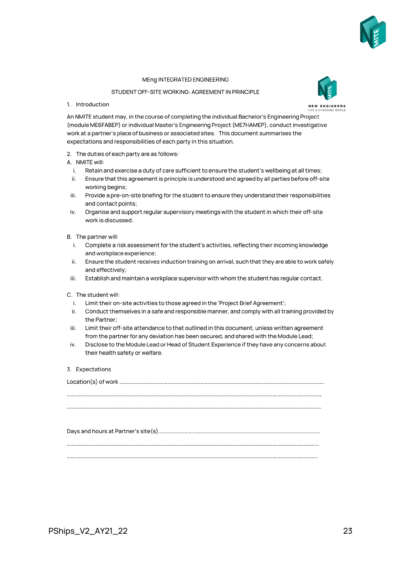

#### **MEng INTEGRATED ENGINEERING**

STUDENT OFF-SITE WORKING: AGREEMENT IN PRINCIPLE

1. Introduction



An NMITE student may, in the course of completing the individual Bachelor's Engineering Project (module ME6FABEP) or individual Master's Engineering Project (ME7HAMEP), conduct investigative work at a partner's place of business or associated sites. This document summarises the expectations and responsibilities of each party in this situation.

- 2. The duties of each party are as follows:
- A. NMITE will:
	- Retain and exercise a duty of care sufficient to ensure the student's wellbeing at all times;  $\mathbf{i}$ .
- ii. Ensure that this agreement is principle is understood and agreed by all parties before off-site working begins;
- iii. Provide a pre-on-site briefing for the student to ensure they understand their responsibilities and contact points:
- iv. Organise and support regular supervisory meetings with the student in which their off-site work is discussed.

#### B. The partner will:

- Complete a risk assessment for the student's activities, reflecting their incoming knowledge i. and workplace experience;
- Ensure the student receives induction training on arrival, such that they are able to work safely  $\mathbf{ii}$ . and effectively:
- Establish and maintain a workplace supervisor with whom the student has regular contact. iii.

C. The student will:

- Limit their on-site activities to those agreed in the 'Project Brief Agreement'; i.
- ii. Conduct themselves in a safe and responsible manner, and comply with all training provided by the Partner;
- $iii.$ Limit their off-site attendance to that outlined in this document, unless written agreement from the partner for any deviation has been secured, and shared with the Module Lead;
- $iv.$ Disclose to the Module Lead or Head of Student Experience if they have any concerns about their health safety or welfare.

#### 3. Expectations